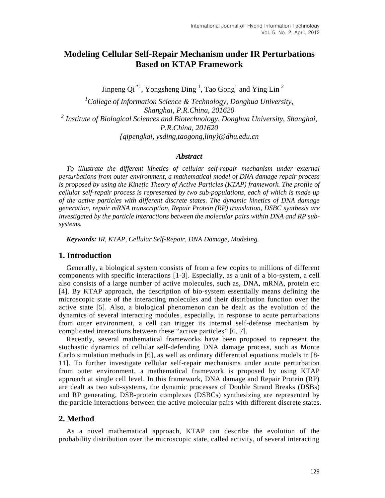# **Modeling Cellular Self-Repair Mechanism under IR Perturbations Based on KTAP Framework**

Jinpeng Qi<sup>\*1</sup>, Yongsheng Ding<sup>1</sup>, Tao Gong<sup>1</sup> and Ying Lin<sup>2</sup>

*<sup>1</sup>College of Information Science & Technology, Donghua University, Shanghai, P.R.China, 201620 2 Institute of Biological Sciences and Biotechnology, Donghua University, Shanghai, P.R.China, 201620 {qipengkai, ysding,taogong,liny[}@dhu.edu.cn](mailto:qipengkai@dhu.edu.cn)* 

#### *Abstract*

*To illustrate the different kinetics of cellular self-repair mechanism under external perturbations from outer environment, a mathematical model of DNA damage repair process is proposed by using the Kinetic Theory of Active Particles (KTAP) framework. The profile of cellular self-repair process is represented by two sub-populations, each of which is made up of the active particles with different discrete states. The dynamic kinetics of DNA damage generation, repair mRNA transcription, Repair Protein (RP) translation, DSBC synthesis are investigated by the particle interactions between the molecular pairs within DNA and RP subsystems.*

*Keywords: IR, KTAP, Cellular Self-Repair, DNA Damage, Modeling.*

#### **1. Introduction**

Generally, a biological system consists of from a few copies to millions of different components with specific interactions [1-3]. Especially, as a unit of a bio-system, a cell also consists of a large number of active molecules, such as, DNA, mRNA, protein etc [4]. By KTAP approach, the description of bio-system essentially means defining the microscopic state of the interacting molecules and their distribution function over the active state [5]. Also, a biological phenomenon can be dealt as the evolution of the dynamics of several interacting modules, especially, in response to acute perturbations from outer environment, a cell can trigger its internal self-defense mechanism by complicated interactions between these "active particles" [6, 7].

Recently, several mathematical frameworks have been proposed to represent the stochastic dynamics of cellular self-defending DNA damage process, such as Monte Carlo simulation methods in [6], as well as ordinary differential equations models in [8- 11]. To further investigate cellular self-repair mechanisms under acute perturbation from outer environment, a mathematical framework is proposed by using KTAP approach at single cell level. In this framework, DNA damage and Repair Protein (RP) are dealt as two sub-systems, the dynamic processes of Double Strand Breaks (DSBs) and RP generating, DSB-protein complexes (DSBCs) synthesizing are represented by the particle interactions between the active molecular pairs with different discrete states.

# **2. Method**

As a novel mathematical approach, KTAP can describe the evolution of the probability distribution over the microscopic state, called activity, of several interacting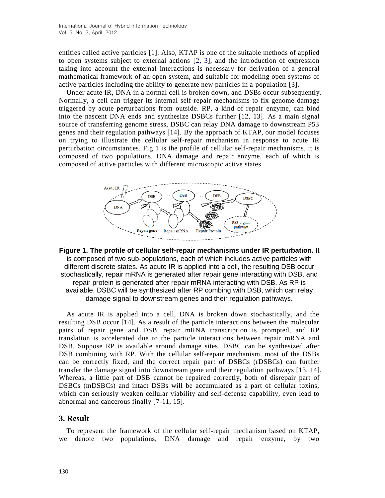entities called active particles [1]. Also, KTAP is one of the suitable methods of applied to open systems subject to external actions [2, 3], and the introduction of expression taking into account the external interactions is necessary for derivation of a general mathematical framework of an open system, and suitable for modeling open systems of active particles including the ability to generate new particles in a population [3].

Under acute IR, DNA in a normal cell is broken down, and DSBs occur subsequently. Normally, a cell can trigger its internal self-repair mechanisms to fix genome damage triggered by acute perturbations from outside. RP, a kind of repair enzyme, can bind into the nascent DNA ends and synthesize DSBCs further [12, 13]. As a main signal source of transferring genome stress, DSBC can relay DNA damage to downstream P53 genes and their regulation pathways [14]. By the approach of KTAP, our model focuses on trying to illustrate the cellular self-repair mechanism in response to acute IR perturbation circumstances. Fig 1 is the profile of cellular self-repair mechanisms, it is composed of two populations, DNA damage and repair enzyme, each of which is composed of active particles with different microscopic active states.



**Figure 1. The profile of cellular self-repair mechanisms under IR perturbation.** It is composed of two sub-populations, each of which includes active particles with different discrete states. As acute IR is applied into a cell, the resulting DSB occur stochastically, repair mRNA is generated after repair gene interacting with DSB, and repair protein is generated after repair mRNA interacting with DSB. As RP is available, DSBC will be synthesized after RP combing with DSB, which can relay damage signal to downstream genes and their regulation pathways.

As acute IR is applied into a cell, DNA is broken down stochastically, and the resulting DSB occur [14]. As a result of the particle interactions between the molecular pairs of repair gene and DSB, repair mRNA transcription is prompted, and RP translation is accelerated due to the particle interactions between repair mRNA and DSB. Suppose RP is available around damage sites, DSBC can be synthesized after DSB combining with RP. With the cellular self-repair mechanism, most of the DSBs can be correctly fixed, and the correct repair part of DSBCs (rDSBCs) can further transfer the damage signal into downstream gene and their regulation pathways [13, 14]. Whereas, a little part of DSB cannot be repaired correctly, both of disrepair part of DSBCs (mDSBCs) and intact DSBs will be accumulated as a part of cellular toxins, which can seriously weaken cellular viability and self-defense capability, even lead to abnormal and cancerous finally [7-11, 15].

# **3. Result**

To represent the framework of the cellular self-repair mechanism based on KTAP, we denote two populations, DNA damage and repair enzyme, by two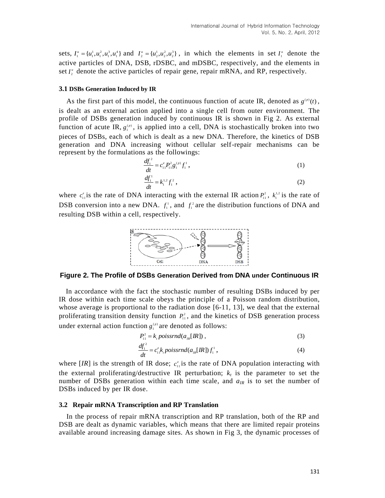sets,  $I_1^u = \{u_1^1, u_1^2, u_1^3, u_1^4\}$  and  $I_2^u = \{u_2^1, u_2^2, u_2^3\}$ , in which the elements in set  $I_1^u$  denote the active particles of DNA, DSB, rDSBC, and mDSBC, respectively, and the elements in set  $I_2^*$  denote the active particles of repair gene, repair mRNA, and RP, respectively.

#### **3.1 DSBs Generation Induced by IR**

As the first part of this model, the continuous function of acute IR, denoted as  $g^{(p)}(t)$ , is dealt as an external action applied into a single cell from outer environment. The profile of DSBs generation induced by continuous IR is shown in Fig 2. As external function of acute IR,  $g_1^{(p)}$ , is applied into a cell, DNA is stochastically broken into two pieces of DSBs, each of which is dealt as a new DNA. Therefore, the kinetics of DSB generation and DNA increasing without cellular self-repair mechanisms can be represent by the formulations as the followings:

$$
\frac{df_1^2}{dt} = c_{11}^e P_{11}^2 g_1^{(p)} f_1^1,
$$
\n(1)

$$
\frac{q_1}{dt} = k_1^{1.2} f_1^2 \,, \tag{2}
$$

where  $c_{11}^e$  is the rate of DNA interacting with the external IR action  $P_{11}^2$ ,  $k_1^{1,2}$  is the rate of DSB conversion into a new DNA.  $f_1^1$ , and  $f_1^2$  are the distribution functions of DNA and resulting DSB within a cell, respectively.



**Figure 2. The Profile of DSBs Generation Derived from DNA under Continuous IR**

In accordance with the fact the stochastic number of resulting DSBs induced by per IR dose within each time scale obeys the principle of a Poisson random distribution, whose average is proportional to the radiation dose [6-11, 13], we deal that the external proliferating transition density function  $P_{11}^2$ , and the kinetics of DSB generation process under external action function  $g_1^{(p)}$  are denoted as follows:

$$
P_{11}^2 = k_p \text{poissrnd}(a_{1R} [IR]) , \qquad (3)
$$

$$
\frac{df_1^2}{dt} = c_1^e, \, \text{poissrnd}(a_{IR}[IR]) \, f_1^1 \,, \tag{4}
$$

where [*IR*] is the strength of IR dose;  $c_{11}^e$  is the rate of DNA population interacting with the external proliferating/destructive IR perturbation;  $k_t$  is the parameter to set the number of DSBs generation within each time scale, and  $a_{IR}$  is to set the number of DSBs induced by per IR dose.

#### **3.2 Repair mRNA Transcription and RP Translation**

In the process of repair mRNA transcription and RP translation, both of the RP and DSB are dealt as dynamic variables, which means that there are limited repair proteins available around increasing damage sites. As shown in Fig 3, the dynamic processes of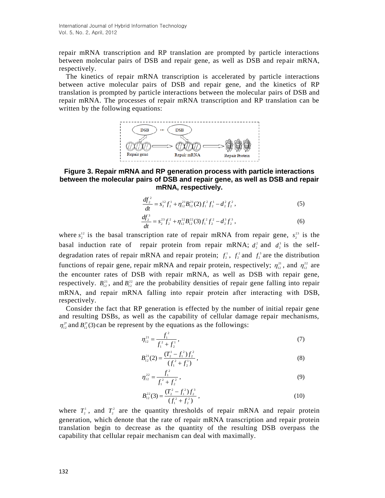repair mRNA transcription and RP translation are prompted by particle interactions between molecular pairs of DSB and repair gene, as well as DSB and repair mRNA, respectively.

The kinetics of repair mRNA transcription is accelerated by particle interactions between active molecular pairs of DSB and repair gene, and the kinetics of RP translation is prompted by particle interactions between the molecular pairs of DSB and repair mRNA. The processes of repair mRNA transcription and RP translation can be written by the following equations:



### **Figure 3. Repair mRNA and RP generation process with particle interactions between the molecular pairs of DSB and repair gene, as well as DSB and repair mRNA, respectively.**

$$
\frac{df_2^2}{dt} = s_2^{12} f_2^1 + \eta_{12}^{21} B_{12}^{21} (2) f_1^2 f_2^1 - d_2^2 f_2^2,
$$
\n(5)  
\n
$$
\frac{df_2^3}{dt} = s_2^{23} f_2^2 + \eta_{12}^{22} B_{12}^{22} (3) f_1^2 f_2^2 - d_2^3 f_2^3,
$$
\n(6)

where  $s_2^{12}$  is the basal transcription rate of repair mRNA from repair gene,  $s_2^{23}$  is the basal induction rate of repair protein from repair mRNA;  $d_2^2$  and  $d_2^3$  is the selfdegradation rates of repair mRNA and repair protein;  $f_1^1$ ,  $f_2^2$  and  $f_3^3$  are the distribution functions of repair gene, repair mRNA and repair protein, respectively;  $\eta_{12}^{21}$ , and  $\eta_{12}^{22}$  are the encounter rates of DSB with repair mRNA, as well as DSB with repair gene, respectively.  $B_{12}^{21}$ , and  $B_{12}^{22}$  are the probability densities of repair gene falling into repair mRNA, and repair mRNA falling into repair protein after interacting with DSB, respectively.

Consider the fact that RP generation is effected by the number of initial repair gene and resulting DSBs, as well as the capability of cellular damage repair mechanisms,  $\eta_{12}^{2*}$  and  $B_{12}^{2*}$ (3) can be represent by the equations as the followings:

$$
\eta_{12}^{21} = \frac{f_1^2}{f_1^2 + f_2^1},\tag{7}
$$

$$
B_{12}^{21}(2) = \frac{(T_2^1 - f_1^2) f_2^2}{(f_1^2 + f_2^1)},
$$
\n(8)

$$
\eta_{12}^{22} = \frac{f_1^2}{f_1^2 + f_2^2},\tag{9}
$$

$$
B_{12}^{22}(3) = \frac{(T_2^2 - f_1^2)f_2^3}{(f_1^2 + f_2^2)},
$$
\n(10)

where  $T_2^1$ , and  $T_2^2$  are the quantity thresholds of repair mRNA and repair protein generation, which denote that the rate of repair mRNA transcription and repair protein translation begin to decrease as the quantity of the resulting DSB overpass the capability that cellular repair mechanism can deal with maximally.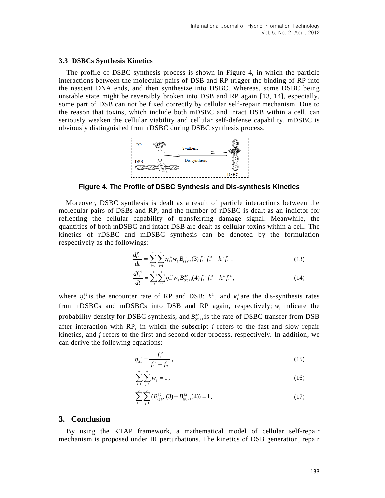#### **3.3 DSBCs Synthesis Kinetics**

The profile of DSBC synthesis process is shown in Figure 4, in which the particle interactions between the molecular pairs of DSB and RP trigger the binding of RP into the nascent DNA ends, and then synthesize into DSBC. Whereas, some DSBC being unstable state might be reversibly broken into DSB and RP again [13, 14], especially, some part of DSB can not be fixed correctly by cellular self-repair mechanism. Due to the reason that toxins, which include both mDSBC and intact DSB within a cell, can seriously weaken the cellular viability and cellular self-defense capability, mDSBC is obviously distinguished from rDSBC during DSBC synthesis process.



**Figure 4. The Profile of DSBC Synthesis and Dis-synthesis Kinetics**

Moreover, DSBC synthesis is dealt as a result of particle interactions between the molecular pairs of DSBs and RP, and the number of rDSBC is dealt as an indictor for reflecting the cellular capability of transferring damage signal. Meanwhile, the quantities of both mDSBC and intact DSB are dealt as cellular toxins within a cell. The kinetics of rDSBC and mDSBC synthesis can be denoted by the formulation respectively as the followings:

$$
\frac{df_1^3}{dt} = \sum_{i=1}^2 \sum_{j=1}^2 \eta_{21}^{32} w_j B_{(ij)21}^{32}(3) f_1^2 f_2^3 - k_1^3 f_1^3,
$$
\n(13)

$$
\frac{df_1^4}{dt} = \sum_{i=1}^2 \sum_{j=1}^2 \eta_{21}^{32} w_{ij} B_{(ij)21}^{32}(4) f_1^2 f_2^3 - k_1^4 f_1^4 , \qquad (14)
$$

where  $\eta_{21}^{32}$  is the encounter rate of RP and DSB;  $k_1^3$ , and  $k_1^4$  are the dis-synthesis rates from rDSBCs and mDSBCs into DSB and RP again, respectively;  $w_{ij}$  indicate the probability density for DSBC synthesis, and  $B_{(ij)21}^{32}$  is the rate of DSBC transfer from DSB after interaction with RP, in which the subscript *i* refers to the fast and slow repair kinetics, and *j* refers to the first and second order process, respectively. In addition, we can derive the following equations:

$$
\eta_{21}^{32} = \frac{f_1^2}{f_1^2 + f_2^3},\tag{15}
$$

$$
\sum_{i=1}^{2} \sum_{j=1}^{2} w_{ij} = 1, \qquad (16)
$$

$$
\sum_{i=1}^{2} \sum_{j=1}^{2} (B_{(ij)21}^{32}(3) + B_{(ij)21}^{32}(4)) = 1.
$$
 (17)

### **3. Conclusion**

By using the KTAP framework, a mathematical model of cellular self-repair mechanism is proposed under IR perturbations. The kinetics of DSB generation, repair